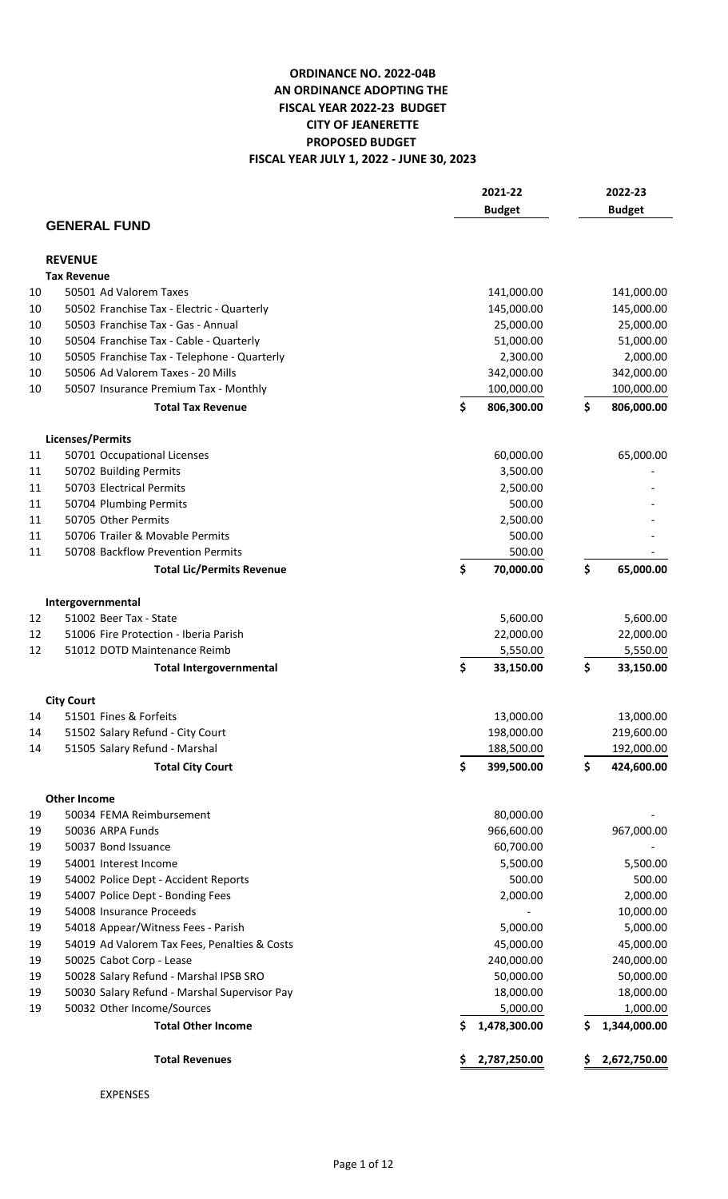## **FISCAL YEAR JULY 1, 2022 - JUNE 30, 2023 ORDINANCE NO. 2022-04B AN ORDINANCE ADOPTING THE FISCAL YEAR 2022-23 BUDGET CITY OF JEANERETTE PROPOSED BUDGET**

|    |                                              | 2021-22            |    | 2022-23       |  |
|----|----------------------------------------------|--------------------|----|---------------|--|
|    |                                              | <b>Budget</b>      |    | <b>Budget</b> |  |
|    | <b>GENERAL FUND</b>                          |                    |    |               |  |
|    |                                              |                    |    |               |  |
|    | <b>REVENUE</b>                               |                    |    |               |  |
|    | <b>Tax Revenue</b>                           |                    |    |               |  |
| 10 | 50501 Ad Valorem Taxes                       | 141,000.00         |    | 141,000.00    |  |
| 10 | 50502 Franchise Tax - Electric - Quarterly   | 145,000.00         |    | 145,000.00    |  |
| 10 | 50503 Franchise Tax - Gas - Annual           | 25,000.00          |    | 25,000.00     |  |
| 10 | 50504 Franchise Tax - Cable - Quarterly      | 51,000.00          |    | 51,000.00     |  |
| 10 | 50505 Franchise Tax - Telephone - Quarterly  | 2,300.00           |    | 2,000.00      |  |
| 10 | 50506 Ad Valorem Taxes - 20 Mills            | 342,000.00         |    | 342,000.00    |  |
| 10 | 50507 Insurance Premium Tax - Monthly        | 100,000.00         |    | 100,000.00    |  |
|    | <b>Total Tax Revenue</b>                     | \$<br>806,300.00   | \$ | 806,000.00    |  |
|    | Licenses/Permits                             |                    |    |               |  |
| 11 | 50701 Occupational Licenses                  | 60,000.00          |    | 65,000.00     |  |
| 11 | 50702 Building Permits                       | 3,500.00           |    |               |  |
| 11 | 50703 Electrical Permits                     | 2,500.00           |    |               |  |
| 11 | 50704 Plumbing Permits                       | 500.00             |    |               |  |
| 11 | 50705 Other Permits                          | 2,500.00           |    |               |  |
| 11 | 50706 Trailer & Movable Permits              | 500.00             |    |               |  |
| 11 | 50708 Backflow Prevention Permits            | 500.00             |    |               |  |
|    | <b>Total Lic/Permits Revenue</b>             | \$<br>70,000.00    | \$ | 65,000.00     |  |
|    |                                              |                    |    |               |  |
|    | Intergovernmental                            |                    |    |               |  |
| 12 | 51002 Beer Tax - State                       | 5,600.00           |    | 5,600.00      |  |
| 12 | 51006 Fire Protection - Iberia Parish        | 22,000.00          |    | 22,000.00     |  |
| 12 | 51012 DOTD Maintenance Reimb                 | 5,550.00           |    | 5,550.00      |  |
|    | <b>Total Intergovernmental</b>               | \$<br>33,150.00    | \$ | 33,150.00     |  |
|    | <b>City Court</b>                            |                    |    |               |  |
| 14 | 51501 Fines & Forfeits                       | 13,000.00          |    | 13,000.00     |  |
| 14 | 51502 Salary Refund - City Court             | 198,000.00         |    | 219,600.00    |  |
| 14 | 51505 Salary Refund - Marshal                | 188,500.00         |    | 192,000.00    |  |
|    | <b>Total City Court</b>                      | \$<br>399,500.00   | \$ | 424,600.00    |  |
|    | <b>Other Income</b>                          |                    |    |               |  |
| 19 | 50034 FEMA Reimbursement                     | 80,000.00          |    |               |  |
| 19 | 50036 ARPA Funds                             | 966,600.00         |    | 967,000.00    |  |
| 19 | 50037 Bond Issuance                          | 60,700.00          |    |               |  |
| 19 | 54001 Interest Income                        | 5,500.00           |    | 5,500.00      |  |
| 19 | 54002 Police Dept - Accident Reports         | 500.00             |    | 500.00        |  |
| 19 | 54007 Police Dept - Bonding Fees             | 2,000.00           |    | 2,000.00      |  |
| 19 | 54008 Insurance Proceeds                     |                    |    | 10,000.00     |  |
| 19 | 54018 Appear/Witness Fees - Parish           | 5,000.00           |    | 5,000.00      |  |
| 19 | 54019 Ad Valorem Tax Fees, Penalties & Costs | 45,000.00          |    | 45,000.00     |  |
| 19 | 50025 Cabot Corp - Lease                     | 240,000.00         |    | 240,000.00    |  |
| 19 | 50028 Salary Refund - Marshal IPSB SRO       | 50,000.00          |    | 50,000.00     |  |
| 19 | 50030 Salary Refund - Marshal Supervisor Pay | 18,000.00          |    | 18,000.00     |  |
| 19 | 50032 Other Income/Sources                   | 5,000.00           |    | 1,000.00      |  |
|    | <b>Total Other Income</b>                    | 1,478,300.00<br>\$ | \$ | 1,344,000.00  |  |
|    | <b>Total Revenues</b>                        | 2,787,250.00<br>Ş  |    | 2,672,750.00  |  |
|    |                                              |                    |    |               |  |

EXPENSES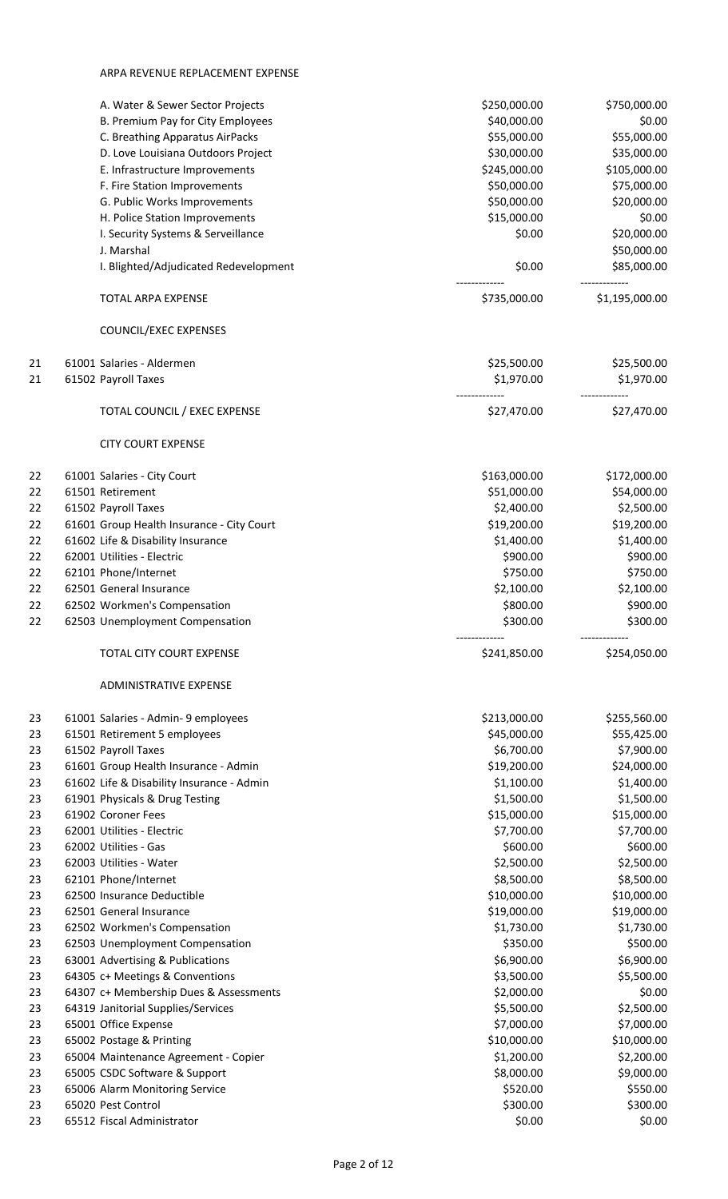## ARPA REVENUE REPLACEMENT EXPENSE

|          | A. Water & Sewer Sector Projects<br>B. Premium Pay for City Employees        | \$250,000.00<br>\$40,000.00 | \$750,000.00<br>\$0.00    |
|----------|------------------------------------------------------------------------------|-----------------------------|---------------------------|
|          | C. Breathing Apparatus AirPacks                                              | \$55,000.00                 | \$55,000.00               |
|          | D. Love Louisiana Outdoors Project                                           | \$30,000.00                 | \$35,000.00               |
|          | E. Infrastructure Improvements                                               | \$245,000.00                | \$105,000.00              |
|          | F. Fire Station Improvements                                                 | \$50,000.00                 | \$75,000.00               |
|          | G. Public Works Improvements                                                 | \$50,000.00                 | \$20,000.00               |
|          | H. Police Station Improvements                                               | \$15,000.00                 | \$0.00                    |
|          | I. Security Systems & Serveillance                                           | \$0.00                      | \$20,000.00               |
|          | J. Marshal                                                                   |                             | \$50,000.00               |
|          | I. Blighted/Adjudicated Redevelopment                                        | \$0.00                      | \$85,000.00               |
|          | TOTAL ARPA EXPENSE                                                           | \$735,000.00                | \$1,195,000.00            |
|          | COUNCIL/EXEC EXPENSES                                                        |                             |                           |
| 21       | 61001 Salaries - Aldermen                                                    | \$25,500.00                 | \$25,500.00               |
| 21       | 61502 Payroll Taxes                                                          | \$1,970.00                  | \$1,970.00                |
|          | TOTAL COUNCIL / EXEC EXPENSE                                                 | \$27,470.00                 | \$27,470.00               |
|          | <b>CITY COURT EXPENSE</b>                                                    |                             |                           |
| 22       | 61001 Salaries - City Court                                                  | \$163,000.00                | \$172,000.00              |
| 22       | 61501 Retirement                                                             | \$51,000.00                 | \$54,000.00               |
| 22       | 61502 Payroll Taxes                                                          | \$2,400.00                  | \$2,500.00                |
| 22       | 61601 Group Health Insurance - City Court                                    | \$19,200.00                 | \$19,200.00               |
| 22       | 61602 Life & Disability Insurance                                            | \$1,400.00                  | \$1,400.00                |
| 22       | 62001 Utilities - Electric                                                   | \$900.00                    | \$900.00                  |
| 22       | 62101 Phone/Internet                                                         | \$750.00                    | \$750.00                  |
| 22       | 62501 General Insurance                                                      | \$2,100.00                  | \$2,100.00                |
| 22       | 62502 Workmen's Compensation                                                 | \$800.00                    | \$900.00                  |
| 22       | 62503 Unemployment Compensation                                              | \$300.00<br>-------------   | \$300.00<br>------------- |
|          | TOTAL CITY COURT EXPENSE                                                     | \$241,850.00                | \$254,050.00              |
|          | <b>ADMINISTRATIVE EXPENSE</b>                                                |                             |                           |
| 23       | 61001 Salaries - Admin- 9 employees                                          | \$213,000.00                | \$255,560.00              |
| 23       | 61501 Retirement 5 employees                                                 | \$45,000.00                 | \$55,425.00               |
| 23       | 61502 Payroll Taxes                                                          | \$6,700.00                  | \$7,900.00                |
| 23       | 61601 Group Health Insurance - Admin                                         | \$19,200.00                 | \$24,000.00               |
| 23       | 61602 Life & Disability Insurance - Admin                                    | \$1,100.00                  | \$1,400.00                |
| 23       | 61901 Physicals & Drug Testing                                               | \$1,500.00                  | \$1,500.00                |
| 23       | 61902 Coroner Fees                                                           | \$15,000.00                 | \$15,000.00               |
| 23       | 62001 Utilities - Electric                                                   | \$7,700.00                  | \$7,700.00                |
| 23       | 62002 Utilities - Gas                                                        | \$600.00                    | \$600.00                  |
| 23       | 62003 Utilities - Water                                                      | \$2,500.00                  | \$2,500.00                |
| 23       | 62101 Phone/Internet                                                         | \$8,500.00                  | \$8,500.00                |
| 23       | 62500 Insurance Deductible                                                   | \$10,000.00                 | \$10,000.00               |
| 23       | 62501 General Insurance                                                      | \$19,000.00                 | \$19,000.00               |
| 23       | 62502 Workmen's Compensation                                                 | \$1,730.00                  | \$1,730.00                |
| 23       | 62503 Unemployment Compensation                                              | \$350.00<br>\$6,900.00      | \$500.00                  |
| 23<br>23 | 63001 Advertising & Publications<br>64305 c+ Meetings & Conventions          | \$3,500.00                  | \$6,900.00<br>\$5,500.00  |
| 23       |                                                                              | \$2,000.00                  | \$0.00                    |
| 23       | 64307 c+ Membership Dues & Assessments<br>64319 Janitorial Supplies/Services | \$5,500.00                  | \$2,500.00                |
| 23       | 65001 Office Expense                                                         | \$7,000.00                  | \$7,000.00                |
|          | 65002 Postage & Printing                                                     | \$10,000.00                 | \$10,000.00               |
|          |                                                                              |                             |                           |
| 23       |                                                                              |                             |                           |
| 23       | 65004 Maintenance Agreement - Copier                                         | \$1,200.00                  | \$2,200.00                |
| 23<br>23 | 65005 CSDC Software & Support                                                | \$8,000.00                  | \$9,000.00                |
| 23       | 65006 Alarm Monitoring Service<br>65020 Pest Control                         | \$520.00<br>\$300.00        | \$550.00<br>\$300.00      |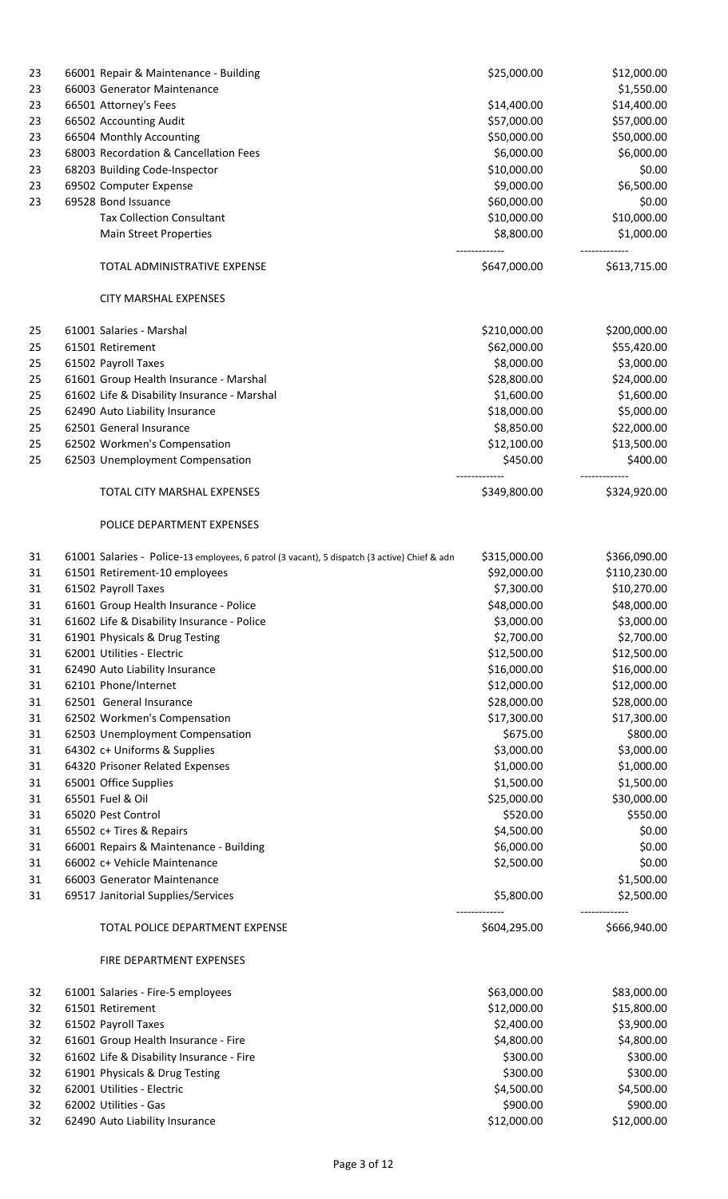| 23 | 66001 Repair & Maintenance - Building                                                        | \$25,000.00  | \$12,000.00  |
|----|----------------------------------------------------------------------------------------------|--------------|--------------|
| 23 | 66003 Generator Maintenance                                                                  |              | \$1,550.00   |
| 23 | 66501 Attorney's Fees                                                                        | \$14,400.00  | \$14,400.00  |
| 23 | 66502 Accounting Audit                                                                       | \$57,000.00  | \$57,000.00  |
| 23 | 66504 Monthly Accounting                                                                     | \$50,000.00  | \$50,000.00  |
| 23 | 68003 Recordation & Cancellation Fees                                                        | \$6,000.00   | \$6,000.00   |
| 23 | 68203 Building Code-Inspector                                                                | \$10,000.00  | \$0.00       |
| 23 | 69502 Computer Expense                                                                       | \$9,000.00   | \$6,500.00   |
| 23 | 69528 Bond Issuance                                                                          | \$60,000.00  | \$0.00       |
|    | <b>Tax Collection Consultant</b>                                                             | \$10,000.00  | \$10,000.00  |
|    | <b>Main Street Properties</b>                                                                | \$8,800.00   | \$1,000.00   |
|    | TOTAL ADMINISTRATIVE EXPENSE                                                                 | \$647,000.00 | \$613,715.00 |
|    | <b>CITY MARSHAL EXPENSES</b>                                                                 |              |              |
|    |                                                                                              |              |              |
| 25 | 61001 Salaries - Marshal                                                                     | \$210,000.00 | \$200,000.00 |
| 25 | 61501 Retirement                                                                             | \$62,000.00  | \$55,420.00  |
| 25 | 61502 Payroll Taxes                                                                          | \$8,000.00   | \$3,000.00   |
| 25 | 61601 Group Health Insurance - Marshal                                                       | \$28,800.00  | \$24,000.00  |
| 25 | 61602 Life & Disability Insurance - Marshal                                                  | \$1,600.00   | \$1,600.00   |
| 25 | 62490 Auto Liability Insurance                                                               | \$18,000.00  | \$5,000.00   |
| 25 | 62501 General Insurance                                                                      | \$8,850.00   | \$22,000.00  |
| 25 | 62502 Workmen's Compensation                                                                 | \$12,100.00  | \$13,500.00  |
| 25 | 62503 Unemployment Compensation                                                              | \$450.00     | \$400.00     |
|    | TOTAL CITY MARSHAL EXPENSES                                                                  | \$349,800.00 | \$324,920.00 |
|    | POLICE DEPARTMENT EXPENSES                                                                   |              |              |
| 31 | 61001 Salaries - Police-13 employees, 6 patrol (3 vacant), 5 dispatch (3 active) Chief & adn | \$315,000.00 | \$366,090.00 |
| 31 | 61501 Retirement-10 employees                                                                | \$92,000.00  | \$110,230.00 |
| 31 | 61502 Payroll Taxes                                                                          | \$7,300.00   | \$10,270.00  |
| 31 | 61601 Group Health Insurance - Police                                                        | \$48,000.00  | \$48,000.00  |
| 31 | 61602 Life & Disability Insurance - Police                                                   | \$3,000.00   | \$3,000.00   |
| 31 | 61901 Physicals & Drug Testing                                                               | \$2,700.00   | \$2,700.00   |
| 31 | 62001 Utilities - Electric                                                                   | \$12,500.00  | \$12,500.00  |
| 31 | 62490 Auto Liability Insurance                                                               | \$16,000.00  | \$16,000.00  |
| 31 | 62101 Phone/Internet                                                                         | \$12,000.00  | \$12,000.00  |
|    |                                                                                              |              |              |
| 31 | 62501 General Insurance                                                                      | \$28,000.00  | \$28,000.00  |
| 31 | 62502 Workmen's Compensation                                                                 | \$17,300.00  | \$17,300.00  |
| 31 | 62503 Unemployment Compensation                                                              | \$675.00     | \$800.00     |
| 31 | 64302 c+ Uniforms & Supplies                                                                 | \$3,000.00   | \$3,000.00   |
| 31 | 64320 Prisoner Related Expenses                                                              | \$1,000.00   | \$1,000.00   |
| 31 | 65001 Office Supplies                                                                        | \$1,500.00   | \$1,500.00   |
| 31 | 65501 Fuel & Oil                                                                             | \$25,000.00  | \$30,000.00  |
| 31 | 65020 Pest Control                                                                           | \$520.00     | \$550.00     |
| 31 | 65502 c+ Tires & Repairs                                                                     | \$4,500.00   | \$0.00       |
| 31 | 66001 Repairs & Maintenance - Building                                                       | \$6,000.00   | \$0.00       |
| 31 | 66002 c+ Vehicle Maintenance                                                                 | \$2,500.00   | \$0.00       |
| 31 | 66003 Generator Maintenance                                                                  |              | \$1,500.00   |
| 31 | 69517 Janitorial Supplies/Services                                                           | \$5,800.00   | \$2,500.00   |
|    | TOTAL POLICE DEPARTMENT EXPENSE                                                              | \$604,295.00 | \$666,940.00 |
|    | FIRE DEPARTMENT EXPENSES                                                                     |              |              |
| 32 | 61001 Salaries - Fire-5 employees                                                            | \$63,000.00  | \$83,000.00  |
| 32 | 61501 Retirement                                                                             | \$12,000.00  | \$15,800.00  |
| 32 | 61502 Payroll Taxes                                                                          | \$2,400.00   | \$3,900.00   |
| 32 | 61601 Group Health Insurance - Fire                                                          | \$4,800.00   | \$4,800.00   |
| 32 | 61602 Life & Disability Insurance - Fire                                                     | \$300.00     | \$300.00     |
| 32 | 61901 Physicals & Drug Testing                                                               | \$300.00     | \$300.00     |
| 32 | 62001 Utilities - Electric                                                                   | \$4,500.00   | \$4,500.00   |
|    | 62002 Utilities - Gas                                                                        | \$900.00     | \$900.00     |
| 32 |                                                                                              |              |              |
| 32 | 62490 Auto Liability Insurance                                                               | \$12,000.00  | \$12,000.00  |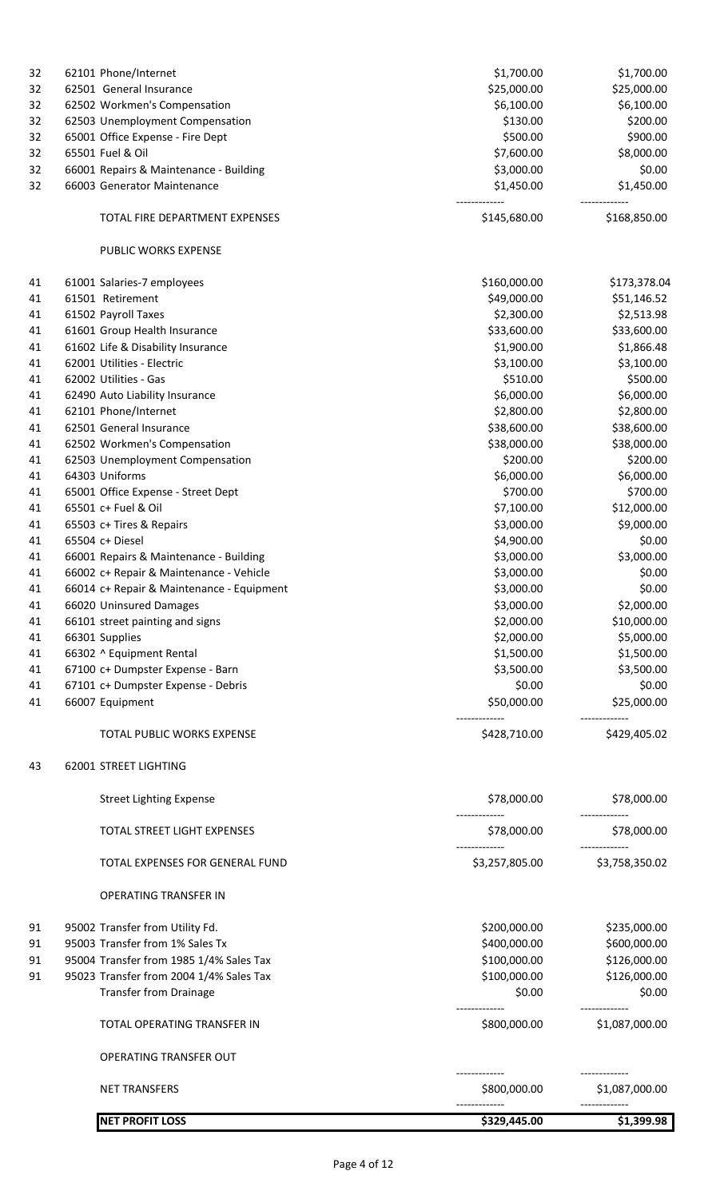| 32 |                | 62101 Phone/Internet                      | \$1,700.00                     | \$1,700.00                      |
|----|----------------|-------------------------------------------|--------------------------------|---------------------------------|
| 32 |                | 62501 General Insurance                   | \$25,000.00                    | \$25,000.00                     |
| 32 |                | 62502 Workmen's Compensation              | \$6,100.00                     | \$6,100.00                      |
| 32 |                | 62503 Unemployment Compensation           | \$130.00                       | \$200.00                        |
| 32 |                | 65001 Office Expense - Fire Dept          | \$500.00                       | \$900.00                        |
| 32 |                | 65501 Fuel & Oil                          | \$7,600.00                     | \$8,000.00                      |
| 32 |                | 66001 Repairs & Maintenance - Building    | \$3,000.00                     | \$0.00                          |
| 32 |                | 66003 Generator Maintenance               | \$1,450.00                     | \$1,450.00                      |
|    |                | TOTAL FIRE DEPARTMENT EXPENSES            | \$145,680.00                   | \$168,850.00                    |
|    |                | PUBLIC WORKS EXPENSE                      |                                |                                 |
| 41 |                | 61001 Salaries-7 employees                | \$160,000.00                   | \$173,378.04                    |
| 41 |                | 61501 Retirement                          | \$49,000.00                    | \$51,146.52                     |
| 41 |                | 61502 Payroll Taxes                       | \$2,300.00                     | \$2,513.98                      |
| 41 |                | 61601 Group Health Insurance              | \$33,600.00                    | \$33,600.00                     |
| 41 |                | 61602 Life & Disability Insurance         | \$1,900.00                     | \$1,866.48                      |
| 41 |                | 62001 Utilities - Electric                | \$3,100.00                     | \$3,100.00                      |
| 41 |                | 62002 Utilities - Gas                     | \$510.00                       | \$500.00                        |
| 41 |                | 62490 Auto Liability Insurance            | \$6,000.00                     | \$6,000.00                      |
| 41 |                | 62101 Phone/Internet                      | \$2,800.00                     | \$2,800.00                      |
| 41 |                | 62501 General Insurance                   | \$38,600.00                    | \$38,600.00                     |
| 41 |                | 62502 Workmen's Compensation              | \$38,000.00                    | \$38,000.00                     |
| 41 |                | 62503 Unemployment Compensation           | \$200.00                       | \$200.00                        |
| 41 |                | 64303 Uniforms                            | \$6,000.00                     | \$6,000.00                      |
| 41 |                | 65001 Office Expense - Street Dept        | \$700.00                       | \$700.00                        |
| 41 |                | 65501 c+ Fuel & Oil                       | \$7,100.00                     | \$12,000.00                     |
| 41 |                | 65503 c+ Tires & Repairs                  | \$3,000.00                     | \$9,000.00                      |
| 41 |                | 65504 c+ Diesel                           | \$4,900.00                     | \$0.00                          |
| 41 |                | 66001 Repairs & Maintenance - Building    | \$3,000.00                     | \$3,000.00                      |
| 41 |                | 66002 c+ Repair & Maintenance - Vehicle   | \$3,000.00                     | \$0.00                          |
| 41 |                | 66014 c+ Repair & Maintenance - Equipment | \$3,000.00                     | \$0.00                          |
| 41 |                | 66020 Uninsured Damages                   | \$3,000.00                     | \$2,000.00                      |
| 41 |                | 66101 street painting and signs           | \$2,000.00                     | \$10,000.00                     |
| 41 | 66301 Supplies |                                           | \$2,000.00                     | \$5,000.00                      |
| 41 |                | 66302 ^ Equipment Rental                  | \$1,500.00                     | \$1,500.00                      |
| 41 |                | 67100 c+ Dumpster Expense - Barn          | \$3,500.00                     | \$3,500.00                      |
| 41 |                | 67101 c+ Dumpster Expense - Debris        | \$0.00                         | \$0.00                          |
| 41 |                | 66007 Equipment                           | \$50,000.00                    | \$25,000.00                     |
|    |                | TOTAL PUBLIC WORKS EXPENSE                | \$428,710.00                   | \$429,405.02                    |
| 43 |                | 62001 STREET LIGHTING                     |                                |                                 |
|    |                | <b>Street Lighting Expense</b>            | \$78,000.00                    | \$78,000.00                     |
|    |                | TOTAL STREET LIGHT EXPENSES               | \$78,000.00                    | \$78,000.00                     |
|    |                | TOTAL EXPENSES FOR GENERAL FUND           | \$3,257,805.00                 | \$3,758,350.02                  |
|    |                | <b>OPERATING TRANSFER IN</b>              |                                |                                 |
| 91 |                | 95002 Transfer from Utility Fd.           | \$200,000.00                   | \$235,000.00                    |
| 91 |                | 95003 Transfer from 1% Sales Tx           | \$400,000.00                   | \$600,000.00                    |
| 91 |                | 95004 Transfer from 1985 1/4% Sales Tax   | \$100,000.00                   | \$126,000.00                    |
| 91 |                | 95023 Transfer from 2004 1/4% Sales Tax   | \$100,000.00                   | \$126,000.00                    |
|    |                | <b>Transfer from Drainage</b>             | \$0.00                         | \$0.00                          |
|    |                | TOTAL OPERATING TRANSFER IN               | --------------<br>\$800,000.00 | -------------<br>\$1,087,000.00 |
|    |                | OPERATING TRANSFER OUT                    |                                |                                 |
|    |                | <b>NET TRANSFERS</b>                      | \$800,000.00                   | \$1,087,000.00                  |
|    |                |                                           |                                |                                 |
|    |                | <b>NET PROFIT LOSS</b>                    | \$329,445.00                   | \$1,399.98                      |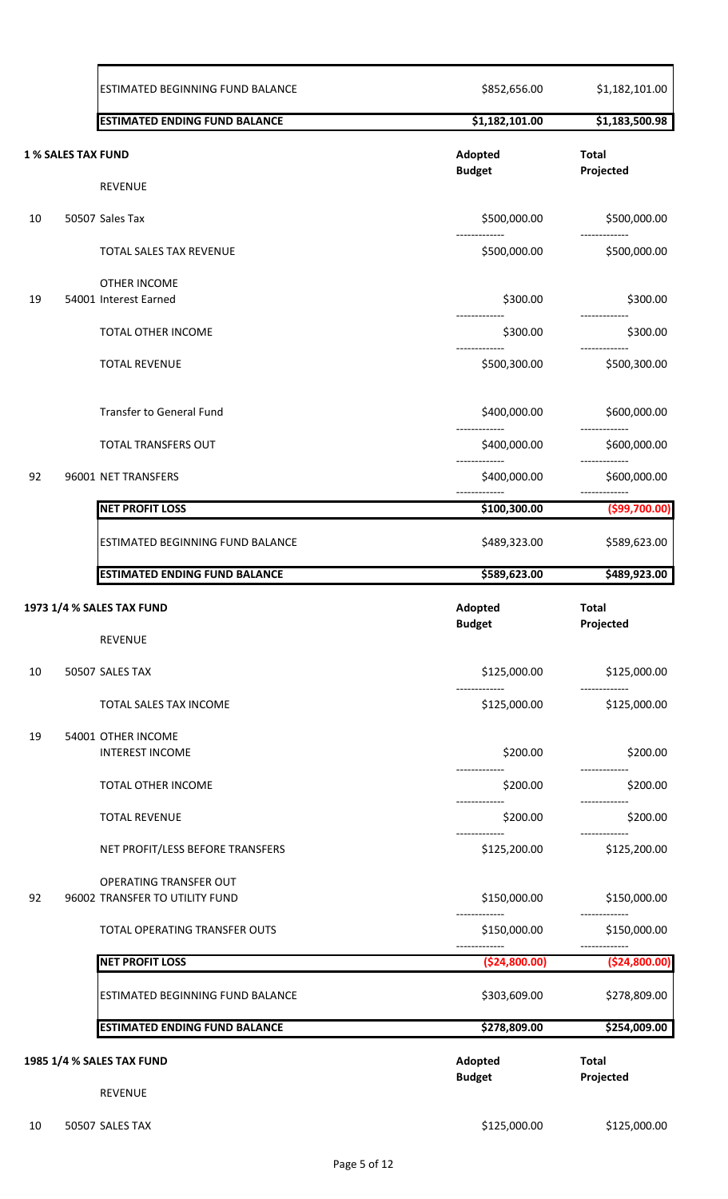|    |                           | ESTIMATED BEGINNING FUND BALANCE                         | \$852,656.00                  | \$1,182,101.00                |
|----|---------------------------|----------------------------------------------------------|-------------------------------|-------------------------------|
|    |                           | <b>ESTIMATED ENDING FUND BALANCE</b>                     | \$1,182,101.00                | \$1,183,500.98                |
|    | <b>1 % SALES TAX FUND</b> |                                                          | Adopted<br><b>Budget</b>      | <b>Total</b><br>Projected     |
|    |                           | <b>REVENUE</b>                                           |                               |                               |
| 10 |                           | 50507 Sales Tax                                          | \$500,000.00                  | \$500,000.00                  |
|    |                           | TOTAL SALES TAX REVENUE                                  | \$500,000.00                  | \$500,000.00                  |
| 19 |                           | <b>OTHER INCOME</b><br>54001 Interest Earned             | \$300.00                      | \$300.00                      |
|    |                           | TOTAL OTHER INCOME                                       | \$300.00                      | \$300.00                      |
|    |                           | <b>TOTAL REVENUE</b>                                     | .<br>\$500,300.00             | \$500,300.00                  |
|    |                           | Transfer to General Fund                                 | \$400,000.00                  | \$600,000.00                  |
|    |                           | TOTAL TRANSFERS OUT                                      | \$400,000.00                  | \$600,000.00                  |
| 92 |                           | 96001 NET TRANSFERS                                      | \$400,000.00                  | \$600,000.00                  |
|    |                           | <b>NET PROFIT LOSS</b>                                   | \$100,300.00                  | ( \$99,700.00)                |
|    |                           | ESTIMATED BEGINNING FUND BALANCE                         | \$489,323.00                  | \$589,623.00                  |
|    |                           | <b>ESTIMATED ENDING FUND BALANCE</b>                     | \$589,623.00                  | \$489,923.00                  |
|    |                           | 1973 1/4 % SALES TAX FUND                                | Adopted                       | <b>Total</b>                  |
|    |                           | REVENUE                                                  | <b>Budget</b>                 | Projected                     |
| 10 |                           | 50507 SALES TAX                                          | \$125,000.00                  | \$125,000.00                  |
|    |                           | TOTAL SALES TAX INCOME                                   | \$125,000.00                  | \$125,000.00                  |
| 19 |                           | 54001 OTHER INCOME<br><b>INTEREST INCOME</b>             | \$200.00                      | \$200.00                      |
|    |                           | TOTAL OTHER INCOME                                       | \$200.00                      | \$200.00                      |
|    |                           | <b>TOTAL REVENUE</b>                                     | \$200.00                      | \$200.00                      |
|    |                           | NET PROFIT/LESS BEFORE TRANSFERS                         | -------------<br>\$125,200.00 | -------------<br>\$125,200.00 |
| 92 |                           | OPERATING TRANSFER OUT<br>96002 TRANSFER TO UTILITY FUND | \$150,000.00                  | \$150,000.00                  |
|    |                           | TOTAL OPERATING TRANSFER OUTS                            | \$150,000.00                  | \$150,000.00                  |
|    |                           | <b>NET PROFIT LOSS</b>                                   | ( \$24, 800.00)               | ( \$24, 800.00)               |
|    |                           |                                                          |                               |                               |
|    |                           | ESTIMATED BEGINNING FUND BALANCE                         | \$303,609.00                  | \$278,809.00                  |
|    |                           | <b>ESTIMATED ENDING FUND BALANCE</b>                     | \$278,809.00                  | \$254,009.00                  |
|    |                           | 1985 1/4 % SALES TAX FUND                                | Adopted<br><b>Budget</b>      | <b>Total</b><br>Projected     |
|    |                           | <b>REVENUE</b>                                           |                               |                               |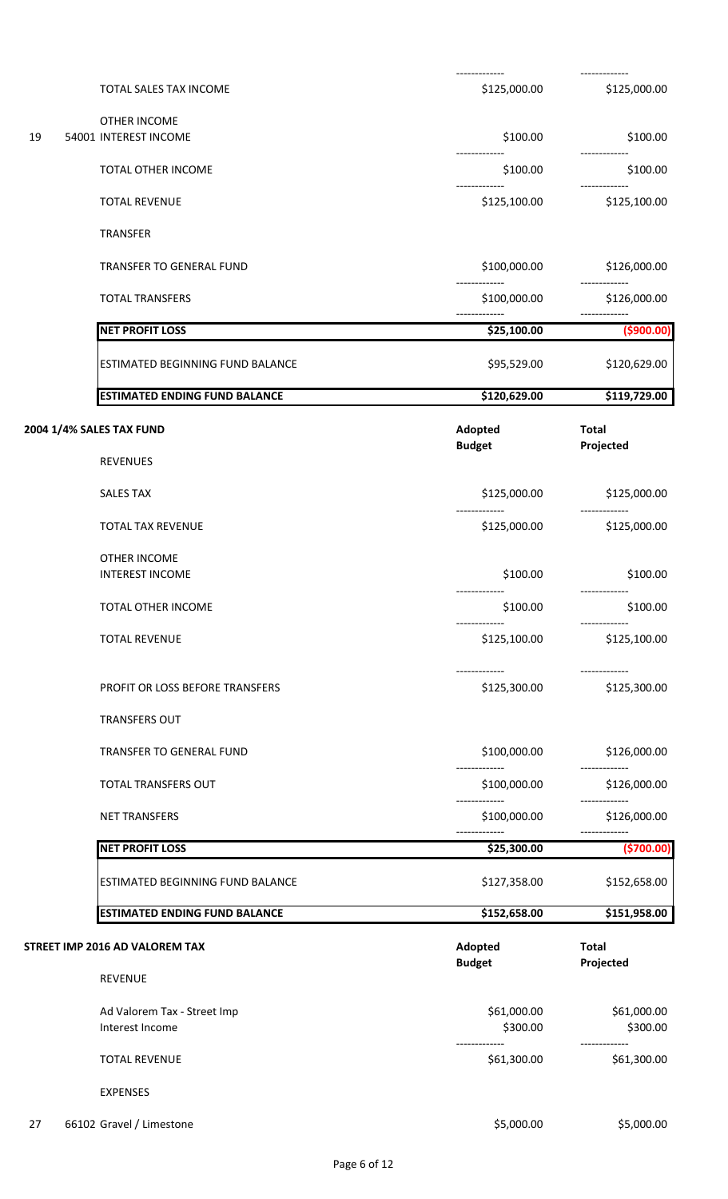|    | TOTAL SALES TAX INCOME               | \$125,000.00                  | \$125,000.00                   |
|----|--------------------------------------|-------------------------------|--------------------------------|
|    | OTHER INCOME                         |                               |                                |
| 19 | 54001 INTEREST INCOME                | \$100.00                      | \$100.00                       |
|    | TOTAL OTHER INCOME                   | \$100.00                      | \$100.00                       |
|    | <b>TOTAL REVENUE</b>                 | \$125,100.00                  | \$125,100.00                   |
|    | <b>TRANSFER</b>                      |                               |                                |
|    | TRANSFER TO GENERAL FUND             | \$100,000.00                  | \$126,000.00                   |
|    | <b>TOTAL TRANSFERS</b>               | -------------<br>\$100,000.00 | --------------<br>\$126,000.00 |
|    | <b>NET PROFIT LOSS</b>               | \$25,100.00                   | (5900.00)                      |
|    | ESTIMATED BEGINNING FUND BALANCE     | \$95,529.00                   | \$120,629.00                   |
|    | <b>ESTIMATED ENDING FUND BALANCE</b> | \$120,629.00                  | \$119,729.00                   |
|    | 2004 1/4% SALES TAX FUND             | Adopted                       | <b>Total</b>                   |
|    | <b>REVENUES</b>                      | <b>Budget</b>                 | Projected                      |
|    | <b>SALES TAX</b>                     | \$125,000.00                  | \$125,000.00                   |
|    | TOTAL TAX REVENUE                    | \$125,000.00                  | \$125,000.00                   |
|    | OTHER INCOME                         |                               |                                |
|    | <b>INTEREST INCOME</b>               | \$100.00                      | \$100.00                       |
|    | TOTAL OTHER INCOME                   | -------------<br>\$100.00     | -------------<br>\$100.00      |
|    | <b>TOTAL REVENUE</b>                 | \$125,100.00                  | \$125,100.00                   |
|    | PROFIT OR LOSS BEFORE TRANSFERS      | -------------<br>\$125,300.00 | --------------<br>\$125,300.00 |
|    | <b>TRANSFERS OUT</b>                 |                               |                                |
|    | TRANSFER TO GENERAL FUND             | \$100,000.00                  | \$126,000.00                   |
|    | TOTAL TRANSFERS OUT                  | \$100,000.00                  | \$126,000.00                   |
|    | <b>NET TRANSFERS</b>                 | \$100,000.00                  | \$126,000.00                   |
|    |                                      |                               |                                |
|    | <b>NET PROFIT LOSS</b>               | \$25,300.00                   | (\$700.00)                     |
|    | ESTIMATED BEGINNING FUND BALANCE     | \$127,358.00                  | \$152,658.00                   |
|    | <b>ESTIMATED ENDING FUND BALANCE</b> | \$152,658.00                  | \$151,958.00                   |
|    | STREET IMP 2016 AD VALOREM TAX       | Adopted                       | <b>Total</b>                   |
|    | <b>REVENUE</b>                       | <b>Budget</b>                 | Projected                      |
|    | Ad Valorem Tax - Street Imp          | \$61,000.00                   | \$61,000.00                    |
|    | Interest Income                      | \$300.00                      | \$300.00                       |
|    | <b>TOTAL REVENUE</b>                 | \$61,300.00                   | \$61,300.00                    |
|    | <b>EXPENSES</b>                      |                               |                                |
| 27 | 66102 Gravel / Limestone             | \$5,000.00                    | \$5,000.00                     |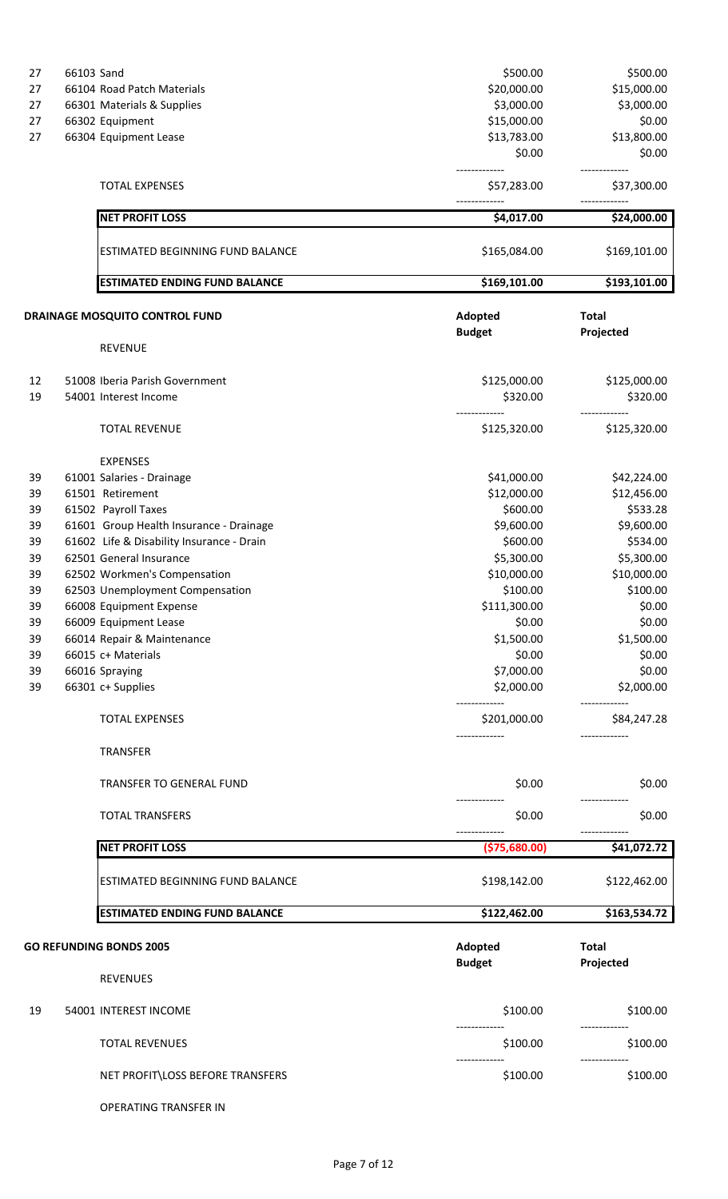| 27       | 66103 Sand |                                                  | \$500.00                 | \$500.00                  |
|----------|------------|--------------------------------------------------|--------------------------|---------------------------|
| 27       |            | 66104 Road Patch Materials                       | \$20,000.00              | \$15,000.00               |
| 27       |            | 66301 Materials & Supplies                       | \$3,000.00               | \$3,000.00                |
| 27       |            | 66302 Equipment                                  | \$15,000.00              | \$0.00                    |
| 27       |            | 66304 Equipment Lease                            | \$13,783.00              | \$13,800.00               |
|          |            |                                                  | \$0.00                   | \$0.00                    |
|          |            | <b>TOTAL EXPENSES</b>                            | \$57,283.00              | \$37,300.00               |
|          |            | <b>NET PROFIT LOSS</b>                           | \$4,017.00               | \$24,000.00               |
|          |            |                                                  |                          |                           |
|          |            | ESTIMATED BEGINNING FUND BALANCE                 | \$165,084.00             | \$169,101.00              |
|          |            | <b>ESTIMATED ENDING FUND BALANCE</b>             | \$169,101.00             | \$193,101.00              |
|          |            | DRAINAGE MOSQUITO CONTROL FUND                   | Adopted                  | <b>Total</b>              |
|          |            |                                                  | <b>Budget</b>            | Projected                 |
|          |            | <b>REVENUE</b>                                   |                          |                           |
| 12       |            | 51008 Iberia Parish Government                   | \$125,000.00             | \$125,000.00              |
| 19       |            | 54001 Interest Income                            | \$320.00                 | \$320.00                  |
|          |            | <b>TOTAL REVENUE</b>                             | \$125,320.00             | \$125,320.00              |
|          |            | <b>EXPENSES</b>                                  |                          |                           |
| 39       |            | 61001 Salaries - Drainage                        | \$41,000.00              | \$42,224.00               |
| 39       |            | 61501 Retirement                                 | \$12,000.00              | \$12,456.00               |
| 39       |            | 61502 Payroll Taxes                              | \$600.00                 | \$533.28                  |
| 39       |            | 61601 Group Health Insurance - Drainage          | \$9,600.00               | \$9,600.00                |
| 39       |            | 61602 Life & Disability Insurance - Drain        | \$600.00                 | \$534.00                  |
| 39       |            | 62501 General Insurance                          | \$5,300.00               | \$5,300.00                |
| 39       |            | 62502 Workmen's Compensation                     | \$10,000.00              | \$10,000.00               |
| 39       |            | 62503 Unemployment Compensation                  | \$100.00                 | \$100.00                  |
| 39       |            | 66008 Equipment Expense                          | \$111,300.00             | \$0.00                    |
| 39       |            |                                                  | \$0.00                   | \$0.00                    |
|          |            | 66009 Equipment Lease                            | \$1,500.00               |                           |
| 39       |            | 66014 Repair & Maintenance<br>66015 c+ Materials | \$0.00                   | \$1,500.00<br>\$0.00      |
| 39       |            |                                                  |                          |                           |
| 39<br>39 |            | 66016 Spraying<br>66301 c+ Supplies              | \$7,000.00<br>\$2,000.00 | \$0.00<br>\$2,000.00      |
|          |            | <b>TOTAL EXPENSES</b>                            | \$201,000.00             | \$84,247.28               |
|          |            |                                                  |                          |                           |
|          |            | <b>TRANSFER</b>                                  |                          |                           |
|          |            | TRANSFER TO GENERAL FUND                         | \$0.00                   | \$0.00                    |
|          |            | <b>TOTAL TRANSFERS</b>                           | \$0.00                   | \$0.00                    |
|          |            | <b>NET PROFIT LOSS</b>                           | (\$75,680.00)            | \$41,072.72               |
|          |            | ESTIMATED BEGINNING FUND BALANCE                 | \$198,142.00             | \$122,462.00              |
|          |            | <b>ESTIMATED ENDING FUND BALANCE</b>             | \$122,462.00             | \$163,534.72              |
|          |            |                                                  |                          |                           |
|          |            | <b>GO REFUNDING BONDS 2005</b>                   | Adopted<br><b>Budget</b> | <b>Total</b><br>Projected |
|          |            | <b>REVENUES</b>                                  |                          |                           |
| 19       |            | 54001 INTEREST INCOME                            | \$100.00                 | \$100.00                  |
|          |            | <b>TOTAL REVENUES</b>                            | \$100.00                 | \$100.00                  |
|          |            | NET PROFIT\LOSS BEFORE TRANSFERS                 | \$100.00                 | \$100.00                  |

OPERATING TRANSFER IN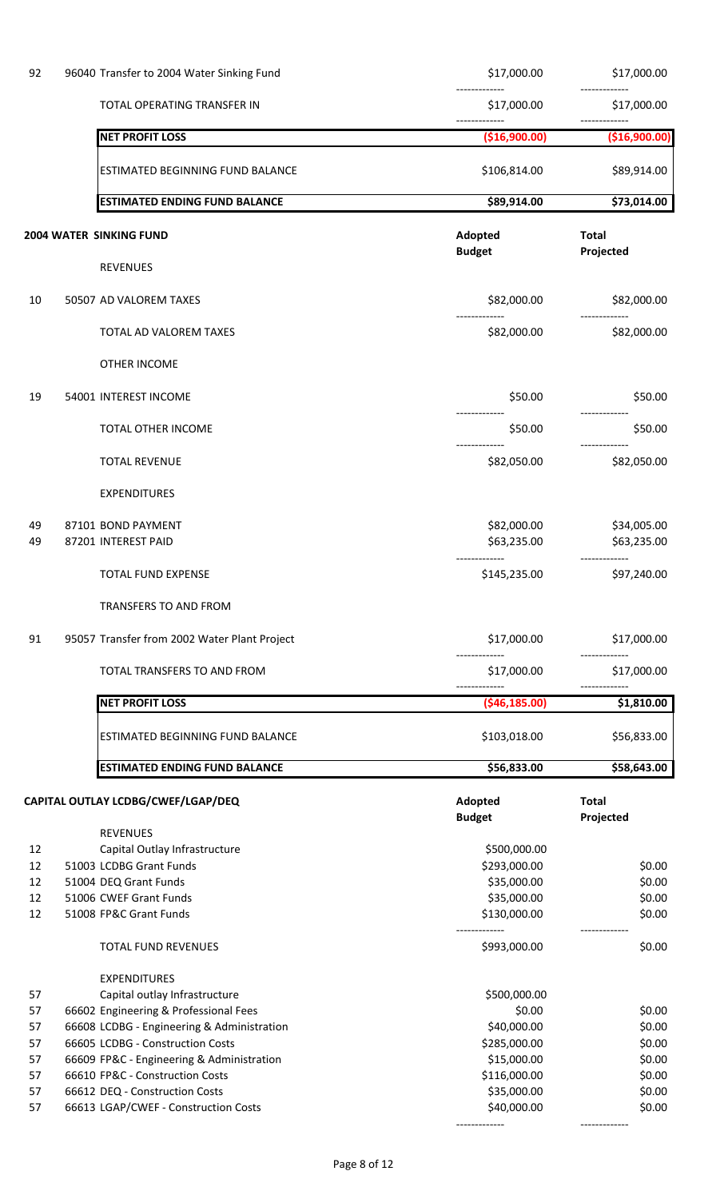| 92                                           | 96040 Transfer to 2004 Water Sinking Fund                                                                                                                                                                                                                                                                                                 | \$17,000.00                                                                                                        | \$17,000.00                                                        |
|----------------------------------------------|-------------------------------------------------------------------------------------------------------------------------------------------------------------------------------------------------------------------------------------------------------------------------------------------------------------------------------------------|--------------------------------------------------------------------------------------------------------------------|--------------------------------------------------------------------|
|                                              | TOTAL OPERATING TRANSFER IN                                                                                                                                                                                                                                                                                                               | \$17,000.00                                                                                                        | \$17,000.00                                                        |
|                                              | <b>NET PROFIT LOSS</b>                                                                                                                                                                                                                                                                                                                    | (\$16,900.00)                                                                                                      | (\$16,900.00)                                                      |
|                                              | <b>ESTIMATED BEGINNING FUND BALANCE</b>                                                                                                                                                                                                                                                                                                   | \$106,814.00                                                                                                       | \$89,914.00                                                        |
|                                              | <b>ESTIMATED ENDING FUND BALANCE</b>                                                                                                                                                                                                                                                                                                      | \$89,914.00                                                                                                        | \$73,014.00                                                        |
|                                              | 2004 WATER SINKING FUND                                                                                                                                                                                                                                                                                                                   | Adopted                                                                                                            | <b>Total</b>                                                       |
|                                              | <b>REVENUES</b>                                                                                                                                                                                                                                                                                                                           | <b>Budget</b>                                                                                                      | Projected                                                          |
| 10                                           | 50507 AD VALOREM TAXES                                                                                                                                                                                                                                                                                                                    | \$82,000.00                                                                                                        | \$82,000.00                                                        |
|                                              | TOTAL AD VALOREM TAXES                                                                                                                                                                                                                                                                                                                    | \$82,000.00                                                                                                        | \$82,000.00                                                        |
|                                              | OTHER INCOME                                                                                                                                                                                                                                                                                                                              |                                                                                                                    |                                                                    |
| 19                                           | 54001 INTEREST INCOME                                                                                                                                                                                                                                                                                                                     | \$50.00                                                                                                            | \$50.00                                                            |
|                                              | <b>TOTAL OTHER INCOME</b>                                                                                                                                                                                                                                                                                                                 | -------------<br>\$50.00                                                                                           | \$50.00                                                            |
|                                              | <b>TOTAL REVENUE</b>                                                                                                                                                                                                                                                                                                                      | -------------<br>\$82,050.00                                                                                       | \$82,050.00                                                        |
|                                              | <b>EXPENDITURES</b>                                                                                                                                                                                                                                                                                                                       |                                                                                                                    |                                                                    |
| 49<br>49                                     | 87101 BOND PAYMENT<br>87201 INTEREST PAID                                                                                                                                                                                                                                                                                                 | \$82,000.00<br>\$63,235.00                                                                                         | \$34,005.00<br>\$63,235.00                                         |
|                                              | TOTAL FUND EXPENSE                                                                                                                                                                                                                                                                                                                        | \$145,235.00                                                                                                       | \$97,240.00                                                        |
|                                              | TRANSFERS TO AND FROM                                                                                                                                                                                                                                                                                                                     |                                                                                                                    |                                                                    |
| 91                                           | 95057 Transfer from 2002 Water Plant Project                                                                                                                                                                                                                                                                                              | \$17,000.00                                                                                                        | \$17,000.00                                                        |
|                                              | TOTAL TRANSFERS TO AND FROM                                                                                                                                                                                                                                                                                                               | \$17,000.00                                                                                                        | \$17,000.00                                                        |
|                                              | <b>NET PROFIT LOSS</b>                                                                                                                                                                                                                                                                                                                    | (546, 185.00)                                                                                                      | \$1,810.00                                                         |
|                                              | ESTIMATED BEGINNING FUND BALANCE                                                                                                                                                                                                                                                                                                          | \$103,018.00                                                                                                       | \$56,833.00                                                        |
|                                              | <b>ESTIMATED ENDING FUND BALANCE</b>                                                                                                                                                                                                                                                                                                      | \$56,833.00                                                                                                        | \$58,643.00                                                        |
|                                              | CAPITAL OUTLAY LCDBG/CWEF/LGAP/DEQ                                                                                                                                                                                                                                                                                                        | Adopted<br><b>Budget</b>                                                                                           | <b>Total</b><br>Projected                                          |
| 12<br>12<br>12<br>12<br>12                   | <b>REVENUES</b><br>Capital Outlay Infrastructure<br>51003 LCDBG Grant Funds<br>51004 DEQ Grant Funds<br>51006 CWEF Grant Funds<br>51008 FP&C Grant Funds                                                                                                                                                                                  | \$500,000.00<br>\$293,000.00<br>\$35,000.00<br>\$35,000.00<br>\$130,000.00                                         | \$0.00<br>\$0.00<br>\$0.00<br>\$0.00<br>-------------              |
|                                              | <b>TOTAL FUND REVENUES</b>                                                                                                                                                                                                                                                                                                                | \$993,000.00                                                                                                       | \$0.00                                                             |
| 57<br>57<br>57<br>57<br>57<br>57<br>57<br>57 | <b>EXPENDITURES</b><br>Capital outlay Infrastructure<br>66602 Engineering & Professional Fees<br>66608 LCDBG - Engineering & Administration<br>66605 LCDBG - Construction Costs<br>66609 FP&C - Engineering & Administration<br>66610 FP&C - Construction Costs<br>66612 DEQ - Construction Costs<br>66613 LGAP/CWEF - Construction Costs | \$500,000.00<br>\$0.00<br>\$40,000.00<br>\$285,000.00<br>\$15,000.00<br>\$116,000.00<br>\$35,000.00<br>\$40,000.00 | \$0.00<br>\$0.00<br>\$0.00<br>\$0.00<br>\$0.00<br>\$0.00<br>\$0.00 |
|                                              |                                                                                                                                                                                                                                                                                                                                           |                                                                                                                    |                                                                    |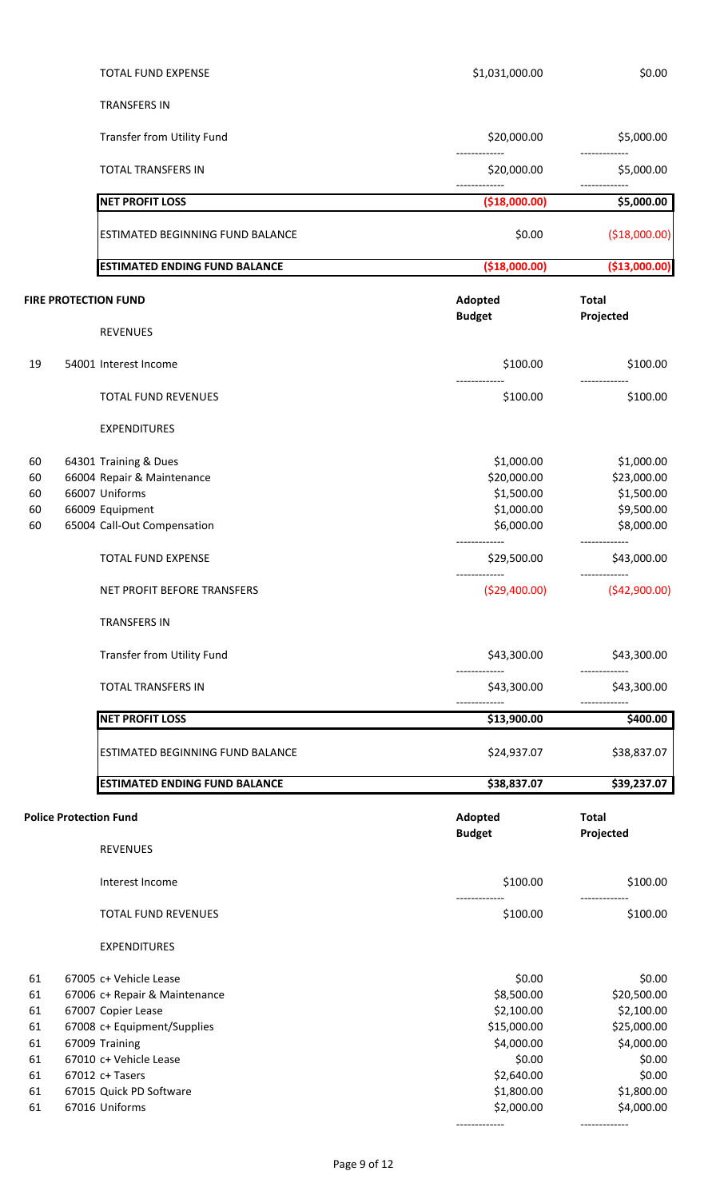|          | TOTAL FUND EXPENSE                        | \$1,031,000.00           | \$0.00                    |
|----------|-------------------------------------------|--------------------------|---------------------------|
|          | <b>TRANSFERS IN</b>                       |                          |                           |
|          | Transfer from Utility Fund                | \$20,000.00              | \$5,000.00                |
|          | <b>TOTAL TRANSFERS IN</b>                 | \$20,000.00              | \$5,000.00                |
|          | <b>NET PROFIT LOSS</b>                    | (\$18,000.00)            | \$5,000.00                |
|          | ESTIMATED BEGINNING FUND BALANCE          | \$0.00                   | ( \$18,000.00)            |
|          | <b>ESTIMATED ENDING FUND BALANCE</b>      | (\$18,000.00]            | (\$13,000.00)             |
|          | <b>FIRE PROTECTION FUND</b>               | Adopted<br><b>Budget</b> | <b>Total</b><br>Projected |
|          | <b>REVENUES</b>                           |                          |                           |
| 19       | 54001 Interest Income                     | \$100.00                 | \$100.00                  |
|          | <b>TOTAL FUND REVENUES</b>                | \$100.00                 | \$100.00                  |
|          | <b>EXPENDITURES</b>                       |                          |                           |
| 60       | 64301 Training & Dues                     | \$1,000.00               | \$1,000.00                |
| 60       | 66004 Repair & Maintenance                | \$20,000.00              | \$23,000.00               |
| 60       | 66007 Uniforms                            | \$1,500.00               | \$1,500.00                |
| 60       | 66009 Equipment                           | \$1,000.00               | \$9,500.00                |
| 60       | 65004 Call-Out Compensation               | \$6,000.00               | \$8,000.00                |
|          | TOTAL FUND EXPENSE                        | \$29,500.00              | \$43,000.00               |
|          | NET PROFIT BEFORE TRANSFERS               | ( \$29,400.00)           | (\$42,900.00)             |
|          | <b>TRANSFERS IN</b>                       |                          |                           |
|          | Transfer from Utility Fund                | \$43,300.00              | \$43,300.00               |
|          | <b>TOTAL TRANSFERS IN</b>                 | \$43,300.00              | \$43,300.00               |
|          | <b>NET PROFIT LOSS</b>                    | \$13,900.00              | \$400.00                  |
|          | ESTIMATED BEGINNING FUND BALANCE          | \$24,937.07              | \$38,837.07               |
|          | <b>ESTIMATED ENDING FUND BALANCE</b>      | \$38,837.07              | \$39,237.07               |
|          | <b>Police Protection Fund</b>             | Adopted<br><b>Budget</b> | <b>Total</b><br>Projected |
|          | REVENUES                                  |                          |                           |
|          | Interest Income                           | \$100.00                 | \$100.00                  |
|          | <b>TOTAL FUND REVENUES</b>                | \$100.00                 | \$100.00                  |
|          | <b>EXPENDITURES</b>                       |                          |                           |
| 61       | 67005 c+ Vehicle Lease                    | \$0.00                   | \$0.00                    |
| 61       | 67006 c+ Repair & Maintenance             | \$8,500.00               | \$20,500.00               |
| 61       | 67007 Copier Lease                        | \$2,100.00               | \$2,100.00                |
| 61       | 67008 c+ Equipment/Supplies               | \$15,000.00              | \$25,000.00               |
| 61       | 67009 Training                            | \$4,000.00               | \$4,000.00                |
| 61       | 67010 c+ Vehicle Lease                    | \$0.00                   | \$0.00                    |
| 61       | 67012 c+ Tasers                           | \$2,640.00               | \$0.00                    |
| 61<br>61 | 67015 Quick PD Software<br>67016 Uniforms | \$1,800.00<br>\$2,000.00 | \$1,800.00<br>\$4,000.00  |
|          |                                           |                          |                           |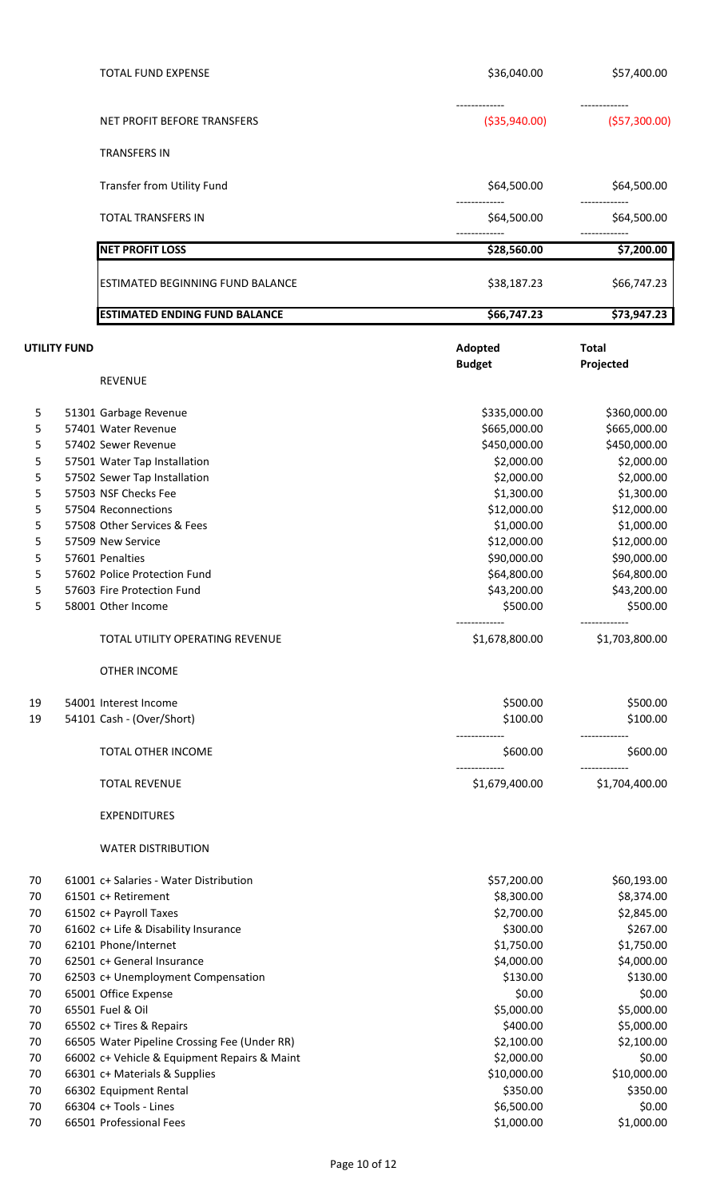|                                                                           |              | <b>TOTAL FUND EXPENSE</b>                                                                                                                                                                                                                                                                                                                                                                                                                                                                                   | \$36,040.00                                                                                                                                                                                                                                                         | \$57,400.00                                                                                                                                                                                                                                                         |
|---------------------------------------------------------------------------|--------------|-------------------------------------------------------------------------------------------------------------------------------------------------------------------------------------------------------------------------------------------------------------------------------------------------------------------------------------------------------------------------------------------------------------------------------------------------------------------------------------------------------------|---------------------------------------------------------------------------------------------------------------------------------------------------------------------------------------------------------------------------------------------------------------------|---------------------------------------------------------------------------------------------------------------------------------------------------------------------------------------------------------------------------------------------------------------------|
|                                                                           |              | NET PROFIT BEFORE TRANSFERS                                                                                                                                                                                                                                                                                                                                                                                                                                                                                 | ( \$35,940.00)                                                                                                                                                                                                                                                      | ( \$57,300.00)                                                                                                                                                                                                                                                      |
|                                                                           |              | <b>TRANSFERS IN</b>                                                                                                                                                                                                                                                                                                                                                                                                                                                                                         |                                                                                                                                                                                                                                                                     |                                                                                                                                                                                                                                                                     |
|                                                                           |              | Transfer from Utility Fund                                                                                                                                                                                                                                                                                                                                                                                                                                                                                  | \$64,500.00                                                                                                                                                                                                                                                         | \$64,500.00                                                                                                                                                                                                                                                         |
|                                                                           |              | <b>TOTAL TRANSFERS IN</b>                                                                                                                                                                                                                                                                                                                                                                                                                                                                                   | \$64,500.00                                                                                                                                                                                                                                                         | \$64,500.00                                                                                                                                                                                                                                                         |
|                                                                           |              | <b>NET PROFIT LOSS</b>                                                                                                                                                                                                                                                                                                                                                                                                                                                                                      | \$28,560.00                                                                                                                                                                                                                                                         | \$7,200.00                                                                                                                                                                                                                                                          |
|                                                                           |              | ESTIMATED BEGINNING FUND BALANCE                                                                                                                                                                                                                                                                                                                                                                                                                                                                            | \$38,187.23                                                                                                                                                                                                                                                         | \$66,747.23                                                                                                                                                                                                                                                         |
|                                                                           |              | <b>ESTIMATED ENDING FUND BALANCE</b>                                                                                                                                                                                                                                                                                                                                                                                                                                                                        | \$66,747.23                                                                                                                                                                                                                                                         | \$73,947.23                                                                                                                                                                                                                                                         |
|                                                                           | UTILITY FUND |                                                                                                                                                                                                                                                                                                                                                                                                                                                                                                             | Adopted<br><b>Budget</b>                                                                                                                                                                                                                                            | <b>Total</b><br>Projected                                                                                                                                                                                                                                           |
|                                                                           |              | <b>REVENUE</b>                                                                                                                                                                                                                                                                                                                                                                                                                                                                                              |                                                                                                                                                                                                                                                                     |                                                                                                                                                                                                                                                                     |
| 5<br>5<br>5<br>5<br>5<br>5<br>5<br>5<br>5<br>5<br>5<br>5<br>5<br>19<br>19 |              | 51301 Garbage Revenue<br>57401 Water Revenue<br>57402 Sewer Revenue<br>57501 Water Tap Installation<br>57502 Sewer Tap Installation<br>57503 NSF Checks Fee<br>57504 Reconnections<br>57508 Other Services & Fees<br>57509 New Service<br>57601 Penalties<br>57602 Police Protection Fund<br>57603 Fire Protection Fund<br>58001 Other Income<br>TOTAL UTILITY OPERATING REVENUE<br><b>OTHER INCOME</b><br>54001 Interest Income<br>54101 Cash - (Over/Short)<br>TOTAL OTHER INCOME<br><b>TOTAL REVENUE</b> | \$335,000.00<br>\$665,000.00<br>\$450,000.00<br>\$2,000.00<br>\$2,000.00<br>\$1,300.00<br>\$12,000.00<br>\$1,000.00<br>\$12,000.00<br>\$90,000.00<br>\$64,800.00<br>\$43,200.00<br>\$500.00<br>\$1,678,800.00<br>\$500.00<br>\$100.00<br>\$600.00<br>\$1,679,400.00 | \$360,000.00<br>\$665,000.00<br>\$450,000.00<br>\$2,000.00<br>\$2,000.00<br>\$1,300.00<br>\$12,000.00<br>\$1,000.00<br>\$12,000.00<br>\$90,000.00<br>\$64,800.00<br>\$43,200.00<br>\$500.00<br>\$1,703,800.00<br>\$500.00<br>\$100.00<br>\$600.00<br>\$1,704,400.00 |
| 70<br>70<br>70<br>70<br>70<br>70<br>70<br>70<br>70<br>70<br>70            |              | <b>EXPENDITURES</b><br><b>WATER DISTRIBUTION</b><br>61001 c+ Salaries - Water Distribution<br>61501 c+ Retirement<br>61502 c+ Payroll Taxes<br>61602 c+ Life & Disability Insurance<br>62101 Phone/Internet<br>62501 c+ General Insurance<br>62503 c+ Unemployment Compensation<br>65001 Office Expense<br>65501 Fuel & Oil<br>65502 c+ Tires & Repairs<br>66505 Water Pipeline Crossing Fee (Under RR)                                                                                                     | \$57,200.00<br>\$8,300.00<br>\$2,700.00<br>\$300.00<br>\$1,750.00<br>\$4,000.00<br>\$130.00<br>\$0.00<br>\$5,000.00<br>\$400.00<br>\$2,100.00                                                                                                                       | \$60,193.00<br>\$8,374.00<br>\$2,845.00<br>\$267.00<br>\$1,750.00<br>\$4,000.00<br>\$130.00<br>\$0.00<br>\$5,000.00<br>\$5,000.00<br>\$2,100.00                                                                                                                     |
| 70<br>70<br>70                                                            |              | 66002 c+ Vehicle & Equipment Repairs & Maint<br>66301 c+ Materials & Supplies<br>66302 Equipment Rental                                                                                                                                                                                                                                                                                                                                                                                                     | \$2,000.00<br>\$10,000.00<br>\$350.00                                                                                                                                                                                                                               | \$0.00<br>\$10,000.00<br>\$350.00                                                                                                                                                                                                                                   |
| 70<br>70                                                                  |              | 66304 c+ Tools - Lines<br>66501 Professional Fees                                                                                                                                                                                                                                                                                                                                                                                                                                                           | \$6,500.00<br>\$1,000.00                                                                                                                                                                                                                                            | \$0.00<br>\$1,000.00                                                                                                                                                                                                                                                |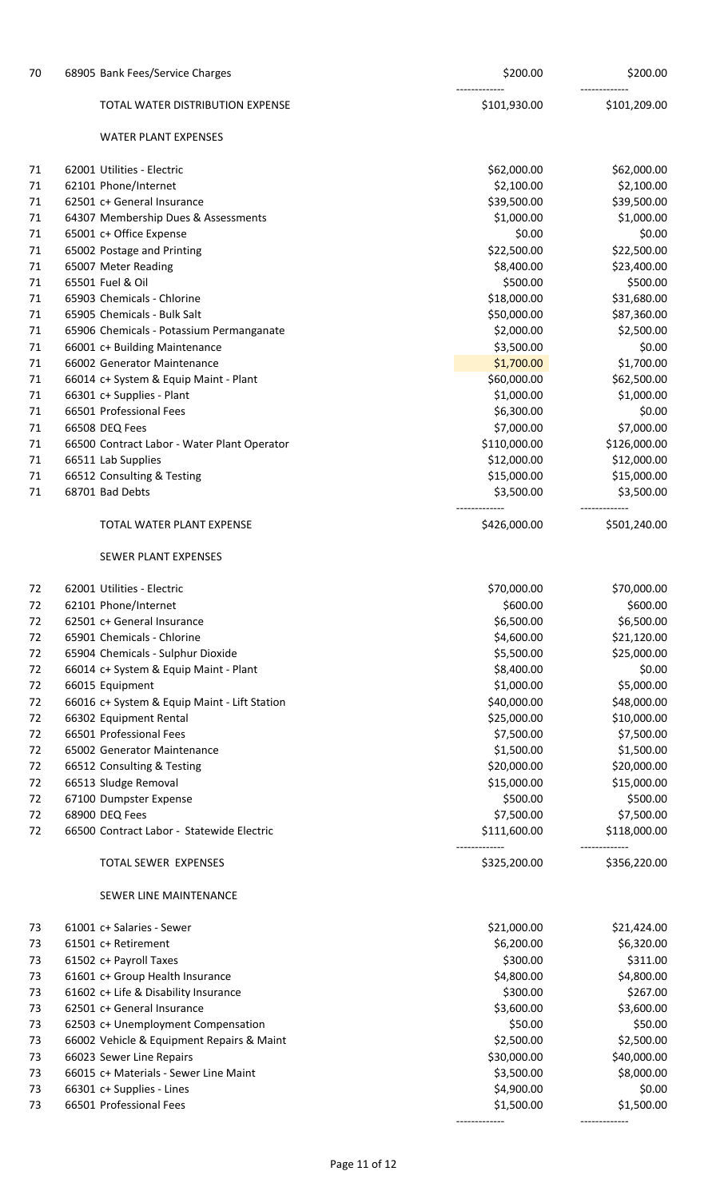| 70       | 68905 Bank Fees/Service Charges                             | \$200.00                    | \$200.00                    |
|----------|-------------------------------------------------------------|-----------------------------|-----------------------------|
|          | TOTAL WATER DISTRIBUTION EXPENSE                            | \$101,930.00                | \$101,209.00                |
|          | <b>WATER PLANT EXPENSES</b>                                 |                             |                             |
| 71       | 62001 Utilities - Electric                                  | \$62,000.00                 | \$62,000.00                 |
| 71       | 62101 Phone/Internet                                        | \$2,100.00                  | \$2,100.00                  |
| 71       | 62501 c+ General Insurance                                  | \$39,500.00                 | \$39,500.00                 |
| 71       | 64307 Membership Dues & Assessments                         | \$1,000.00                  | \$1,000.00                  |
| 71       | 65001 c+ Office Expense                                     | \$0.00                      | \$0.00                      |
| 71       | 65002 Postage and Printing                                  | \$22,500.00                 | \$22,500.00                 |
| 71       | 65007 Meter Reading                                         | \$8,400.00                  | \$23,400.00                 |
| 71       | 65501 Fuel & Oil                                            | \$500.00                    | \$500.00                    |
| 71       | 65903 Chemicals - Chlorine                                  | \$18,000.00                 | \$31,680.00                 |
| 71       | 65905 Chemicals - Bulk Salt                                 | \$50,000.00                 | \$87,360.00                 |
| 71       | 65906 Chemicals - Potassium Permanganate                    | \$2,000.00                  | \$2,500.00                  |
| 71       | 66001 c+ Building Maintenance                               | \$3,500.00                  | \$0.00                      |
| 71       | 66002 Generator Maintenance                                 | \$1,700.00                  | \$1,700.00                  |
| 71       | 66014 c+ System & Equip Maint - Plant                       | \$60,000.00                 | \$62,500.00                 |
| 71       | 66301 c+ Supplies - Plant                                   | \$1,000.00                  | \$1,000.00                  |
| 71       | 66501 Professional Fees                                     | \$6,300.00                  | \$0.00                      |
| 71       | 66508 DEQ Fees                                              | \$7,000.00                  | \$7,000.00                  |
| 71       | 66500 Contract Labor - Water Plant Operator                 | \$110,000.00                | \$126,000.00                |
| 71       | 66511 Lab Supplies                                          | \$12,000.00                 | \$12,000.00                 |
| 71       | 66512 Consulting & Testing                                  | \$15,000.00                 | \$15,000.00                 |
| 71       | 68701 Bad Debts                                             | \$3,500.00                  | \$3,500.00                  |
|          | TOTAL WATER PLANT EXPENSE                                   | \$426,000.00                | \$501,240.00                |
|          | SEWER PLANT EXPENSES                                        |                             |                             |
| 72       | 62001 Utilities - Electric                                  | \$70,000.00                 | \$70,000.00                 |
| 72       | 62101 Phone/Internet                                        | \$600.00                    | \$600.00                    |
| 72       | 62501 c+ General Insurance                                  | \$6,500.00                  | \$6,500.00                  |
| 72       | 65901 Chemicals - Chlorine                                  | \$4,600.00                  | \$21,120.00                 |
| 72       | 65904 Chemicals - Sulphur Dioxide                           | \$5,500.00                  | \$25,000.00                 |
| 72       | 66014 c+ System & Equip Maint - Plant                       | \$8,400.00                  | \$0.00                      |
| 72       | 66015 Equipment                                             | \$1,000.00                  | \$5,000.00                  |
| 72       | 66016 c+ System & Equip Maint - Lift Station                | \$40,000.00                 | \$48,000.00                 |
| 72       | 66302 Equipment Rental                                      | \$25,000.00                 | \$10,000.00                 |
| 72       | 66501 Professional Fees                                     | \$7,500.00                  | \$7,500.00                  |
| 72       | 65002 Generator Maintenance                                 | \$1,500.00                  | \$1,500.00                  |
| 72       | 66512 Consulting & Testing                                  | \$20,000.00                 | \$20,000.00                 |
| 72       | 66513 Sludge Removal                                        | \$15,000.00                 | \$15,000.00                 |
| 72       | 67100 Dumpster Expense                                      | \$500.00                    | \$500.00                    |
| 72<br>72 | 68900 DEQ Fees<br>66500 Contract Labor - Statewide Electric | \$7,500.00<br>\$111,600.00  | \$7,500.00<br>\$118,000.00  |
|          |                                                             |                             | -------------               |
|          | TOTAL SEWER EXPENSES                                        | \$325,200.00                | \$356,220.00                |
|          | SEWER LINE MAINTENANCE                                      |                             |                             |
| 73       | 61001 c+ Salaries - Sewer                                   | \$21,000.00                 | \$21,424.00                 |
| 73       | 61501 c+ Retirement                                         | \$6,200.00                  | \$6,320.00                  |
| 73       | 61502 c+ Payroll Taxes                                      | \$300.00                    | \$311.00                    |
| 73       | 61601 c+ Group Health Insurance                             | \$4,800.00                  | \$4,800.00                  |
| 73       | 61602 c+ Life & Disability Insurance                        | \$300.00                    | \$267.00                    |
| 73       | 62501 c+ General Insurance                                  | \$3,600.00                  | \$3,600.00                  |
| 73       | 62503 c+ Unemployment Compensation                          | \$50.00                     | \$50.00                     |
| 73       | 66002 Vehicle & Equipment Repairs & Maint                   | \$2,500.00                  | \$2,500.00                  |
| 73       | 66023 Sewer Line Repairs                                    | \$30,000.00                 | \$40,000.00                 |
| 73       | 66015 c+ Materials - Sewer Line Maint                       | \$3,500.00                  | \$8,000.00                  |
| 73       | 66301 c+ Supplies - Lines                                   | \$4,900.00                  | \$0.00                      |
| 73       | 66501 Professional Fees                                     | \$1,500.00<br>------------- | \$1,500.00<br>------------- |
|          |                                                             |                             |                             |